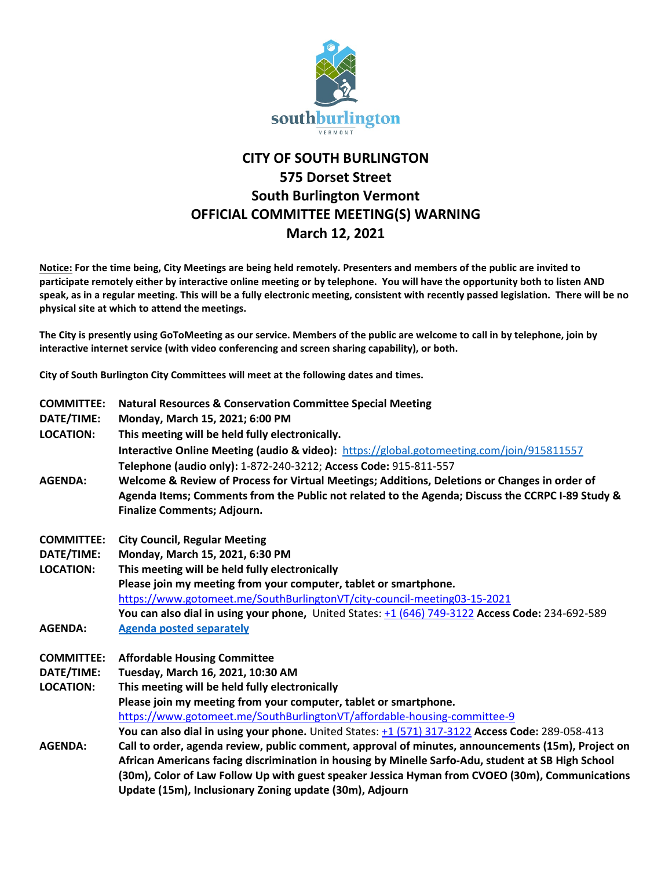

## **CITY OF SOUTH BURLINGTON 575 Dorset Street South Burlington Vermont OFFICIAL COMMITTEE MEETING(S) WARNING March 12, 2021**

**Notice: For the time being, City Meetings are being held remotely. Presenters and members of the public are invited to participate remotely either by interactive online meeting or by telephone. You will have the opportunity both to listen AND speak, as in a regular meeting. This will be a fully electronic meeting, consistent with recently passed legislation. There will be no physical site at which to attend the meetings.** 

**The City is presently using GoToMeeting as our service. Members of the public are welcome to call in by telephone, join by interactive internet service (with video conferencing and screen sharing capability), or both.**

**City of South Burlington City Committees will meet at the following dates and times.** 

| <b>COMMITTEE:</b> | <b>Natural Resources &amp; Conservation Committee Special Meeting</b>                                |
|-------------------|------------------------------------------------------------------------------------------------------|
| DATE/TIME:        | Monday, March 15, 2021; 6:00 PM                                                                      |
| <b>LOCATION:</b>  | This meeting will be held fully electronically.                                                      |
|                   | <b>Interactive Online Meeting (audio &amp; video):</b> https://global.gotomeeting.com/join/915811557 |
|                   | Telephone (audio only): 1-872-240-3212; Access Code: 915-811-557                                     |
| <b>AGENDA:</b>    | Welcome & Review of Process for Virtual Meetings; Additions, Deletions or Changes in order of        |
|                   | Agenda Items; Comments from the Public not related to the Agenda; Discuss the CCRPC I-89 Study &     |
|                   | Finalize Comments; Adjourn.                                                                          |
| <b>COMMITTEE:</b> | <b>City Council, Regular Meeting</b>                                                                 |
| DATE/TIME:        | Monday, March 15, 2021, 6:30 PM                                                                      |
| <b>LOCATION:</b>  | This meeting will be held fully electronically                                                       |
|                   | Please join my meeting from your computer, tablet or smartphone.                                     |
|                   | https://www.gotomeet.me/SouthBurlingtonVT/city-council-meeting03-15-2021                             |
|                   | You can also dial in using your phone, United States: +1 (646) 749-3122 Access Code: 234-692-589     |
| <b>AGENDA:</b>    | <b>Agenda posted separately</b>                                                                      |
| <b>COMMITTEE:</b> | <b>Affordable Housing Committee</b>                                                                  |
| DATE/TIME:        | Tuesday, March 16, 2021, 10:30 AM                                                                    |
| <b>LOCATION:</b>  | This meeting will be held fully electronically                                                       |
|                   | Please join my meeting from your computer, tablet or smartphone.                                     |
|                   | https://www.gotomeet.me/SouthBurlingtonVT/affordable-housing-committee-9                             |
|                   | You can also dial in using your phone. United States: +1 (571) 317-3122 Access Code: 289-058-413     |
| <b>AGENDA:</b>    | Call to order, agenda review, public comment, approval of minutes, announcements (15m), Project on   |
|                   | African Americans facing discrimination in housing by Minelle Sarfo-Adu, student at SB High School   |
|                   | (30m), Color of Law Follow Up with guest speaker Jessica Hyman from CVOEO (30m), Communications      |
|                   | Update (15m), Inclusionary Zoning update (30m), Adjourn                                              |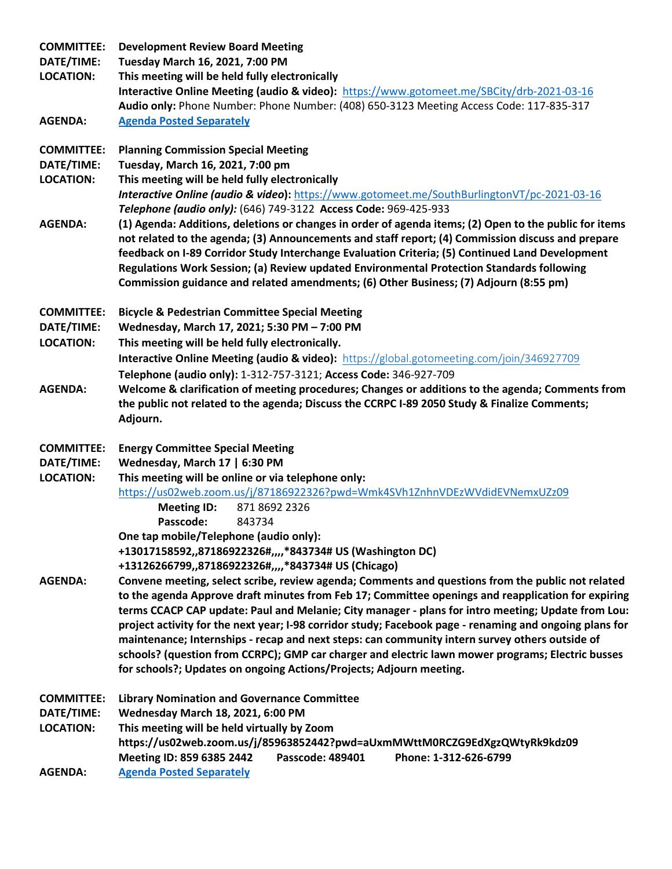| <b>COMMITTEE:</b><br>DATE/TIME:<br><b>LOCATION:</b><br><b>AGENDA:</b> | <b>Development Review Board Meeting</b><br>Tuesday March 16, 2021, 7:00 PM<br>This meeting will be held fully electronically<br>Interactive Online Meeting (audio & video): https://www.gotomeet.me/SBCity/drb-2021-03-16<br>Audio only: Phone Number: Phone Number: (408) 650-3123 Meeting Access Code: 117-835-317<br><b>Agenda Posted Separately</b>                                                                                                                                              |
|-----------------------------------------------------------------------|------------------------------------------------------------------------------------------------------------------------------------------------------------------------------------------------------------------------------------------------------------------------------------------------------------------------------------------------------------------------------------------------------------------------------------------------------------------------------------------------------|
|                                                                       |                                                                                                                                                                                                                                                                                                                                                                                                                                                                                                      |
| <b>COMMITTEE:</b><br>DATE/TIME:<br><b>LOCATION:</b>                   | <b>Planning Commission Special Meeting</b><br>Tuesday, March 16, 2021, 7:00 pm<br>This meeting will be held fully electronically<br>Interactive Online (audio & video): https://www.gotomeet.me/SouthBurlingtonVT/pc-2021-03-16<br>Telephone (audio only): (646) 749-3122 Access Code: 969-425-933                                                                                                                                                                                                   |
| <b>AGENDA:</b>                                                        | (1) Agenda: Additions, deletions or changes in order of agenda items; (2) Open to the public for items<br>not related to the agenda; (3) Announcements and staff report; (4) Commission discuss and prepare<br>feedback on I-89 Corridor Study Interchange Evaluation Criteria; (5) Continued Land Development<br>Regulations Work Session; (a) Review updated Environmental Protection Standards following<br>Commission guidance and related amendments; (6) Other Business; (7) Adjourn (8:55 pm) |
| <b>COMMITTEE:</b>                                                     | <b>Bicycle &amp; Pedestrian Committee Special Meeting</b>                                                                                                                                                                                                                                                                                                                                                                                                                                            |
| DATE/TIME:                                                            | Wednesday, March 17, 2021; 5:30 PM - 7:00 PM                                                                                                                                                                                                                                                                                                                                                                                                                                                         |
| <b>LOCATION:</b>                                                      | This meeting will be held fully electronically.                                                                                                                                                                                                                                                                                                                                                                                                                                                      |
|                                                                       | <b>Interactive Online Meeting (audio &amp; video):</b> https://global.gotomeeting.com/join/346927709                                                                                                                                                                                                                                                                                                                                                                                                 |
| <b>AGENDA:</b>                                                        | Telephone (audio only): 1-312-757-3121; Access Code: 346-927-709<br>Welcome & clarification of meeting procedures; Changes or additions to the agenda; Comments from                                                                                                                                                                                                                                                                                                                                 |
|                                                                       | the public not related to the agenda; Discuss the CCRPC I-89 2050 Study & Finalize Comments;<br>Adjourn.                                                                                                                                                                                                                                                                                                                                                                                             |
| <b>COMMITTEE:</b>                                                     | <b>Energy Committee Special Meeting</b>                                                                                                                                                                                                                                                                                                                                                                                                                                                              |
| DATE/TIME:                                                            | Wednesday, March 17   6:30 PM                                                                                                                                                                                                                                                                                                                                                                                                                                                                        |
| <b>LOCATION:</b>                                                      | This meeting will be online or via telephone only:                                                                                                                                                                                                                                                                                                                                                                                                                                                   |
|                                                                       | https://us02web.zoom.us/j/87186922326?pwd=Wmk4SVh1ZnhnVDEzWVdidEVNemxUZz09                                                                                                                                                                                                                                                                                                                                                                                                                           |
|                                                                       | <b>Meeting ID:</b><br>871 8692 2326                                                                                                                                                                                                                                                                                                                                                                                                                                                                  |
|                                                                       | Passcode:<br>843734                                                                                                                                                                                                                                                                                                                                                                                                                                                                                  |
|                                                                       | One tap mobile/Telephone (audio only):<br>+13017158592,,87186922326#,,,,*843734# US (Washington DC)<br>+13126266799,,87186922326#,,,,*843734# US (Chicago)                                                                                                                                                                                                                                                                                                                                           |
| <b>AGENDA:</b>                                                        | Convene meeting, select scribe, review agenda; Comments and questions from the public not related                                                                                                                                                                                                                                                                                                                                                                                                    |
|                                                                       | to the agenda Approve draft minutes from Feb 17; Committee openings and reapplication for expiring<br>terms CCACP CAP update: Paul and Melanie; City manager - plans for intro meeting; Update from Lou:                                                                                                                                                                                                                                                                                             |
|                                                                       | project activity for the next year; I-98 corridor study; Facebook page - renaming and ongoing plans for<br>maintenance; Internships - recap and next steps: can community intern survey others outside of                                                                                                                                                                                                                                                                                            |
|                                                                       | schools? (question from CCRPC); GMP car charger and electric lawn mower programs; Electric busses<br>for schools?; Updates on ongoing Actions/Projects; Adjourn meeting.                                                                                                                                                                                                                                                                                                                             |
| <b>COMMITTEE:</b>                                                     | <b>Library Nomination and Governance Committee</b>                                                                                                                                                                                                                                                                                                                                                                                                                                                   |
| DATE/TIME:                                                            | Wednesday March 18, 2021, 6:00 PM                                                                                                                                                                                                                                                                                                                                                                                                                                                                    |
| <b>LOCATION:</b>                                                      | This meeting will be held virtually by Zoom                                                                                                                                                                                                                                                                                                                                                                                                                                                          |
|                                                                       | https://us02web.zoom.us/j/85963852442?pwd=aUxmMWttM0RCZG9EdXgzQWtyRk9kdz09<br>Meeting ID: 859 6385 2442<br>Passcode: 489401<br>Phone: 1-312-626-6799                                                                                                                                                                                                                                                                                                                                                 |
| <b>ACCNIDA</b>                                                        |                                                                                                                                                                                                                                                                                                                                                                                                                                                                                                      |

**AGENDA: [Agenda Posted Separately](https://sbvt-records.info/WebLink/Browse.aspx?id=216103&dbid=0&repo=sburl)**